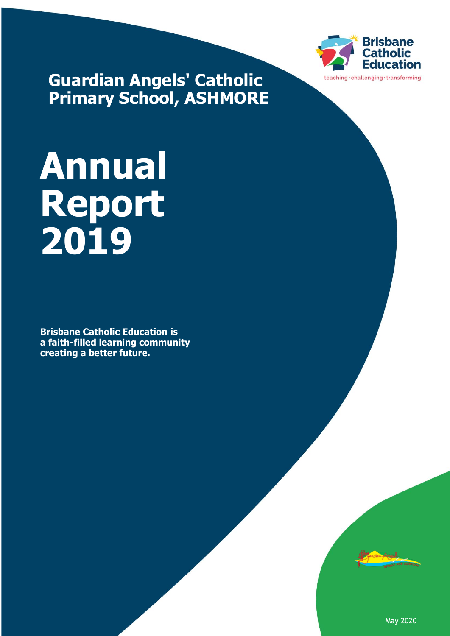

**Guardian Angels' Catholic Primary School, ASHMORE**

# **Annual Report 2019**

**Brisbane Catholic Education is a faith-filled learning community creating a better future.**



May 2020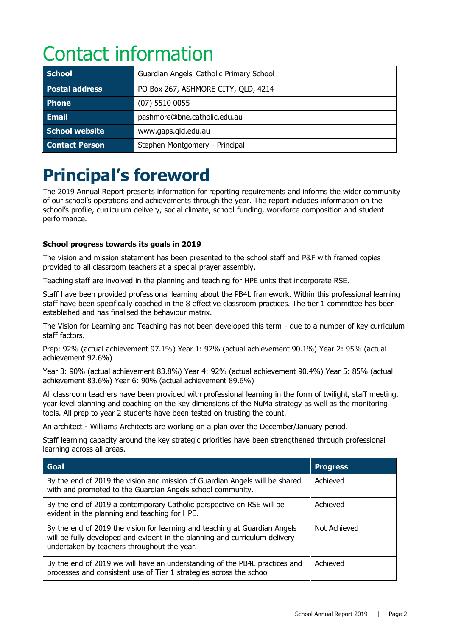# Contact information

| <b>School</b>         | Guardian Angels' Catholic Primary School |  |
|-----------------------|------------------------------------------|--|
| <b>Postal address</b> | PO Box 267, ASHMORE CITY, QLD, 4214      |  |
| <b>Phone</b>          | $(07)$ 5510 0055                         |  |
| <b>Email</b>          | pashmore@bne.catholic.edu.au             |  |
| <b>School website</b> | www.gaps.gld.edu.au                      |  |
| <b>Contact Person</b> | Stephen Montgomery - Principal           |  |

## **Principal's foreword**

The 2019 Annual Report presents information for reporting requirements and informs the wider community of our school's operations and achievements through the year. The report includes information on the school's profile, curriculum delivery, social climate, school funding, workforce composition and student performance.

#### **School progress towards its goals in 2019**

The vision and mission statement has been presented to the school staff and P&F with framed copies provided to all classroom teachers at a special prayer assembly.

Teaching staff are involved in the planning and teaching for HPE units that incorporate RSE.

Staff have been provided professional learning about the PB4L framework. Within this professional learning staff have been specifically coached in the 8 effective classroom practices. The tier 1 committee has been established and has finalised the behaviour matrix.

The Vision for Learning and Teaching has not been developed this term - due to a number of key curriculum staff factors.

Prep: 92% (actual achievement 97.1%) Year 1: 92% (actual achievement 90.1%) Year 2: 95% (actual achievement 92.6%)

Year 3: 90% (actual achievement 83.8%) Year 4: 92% (actual achievement 90.4%) Year 5: 85% (actual achievement 83.6%) Year 6: 90% (actual achievement 89.6%)

All classroom teachers have been provided with professional learning in the form of twilight, staff meeting, year level planning and coaching on the key dimensions of the NuMa strategy as well as the monitoring tools. All prep to year 2 students have been tested on trusting the count.

An architect - Williams Architects are working on a plan over the December/January period.

Staff learning capacity around the key strategic priorities have been strengthened through professional learning across all areas.

| Goal                                                                                                                                                                                                     | <b>Progress</b> |
|----------------------------------------------------------------------------------------------------------------------------------------------------------------------------------------------------------|-----------------|
| By the end of 2019 the vision and mission of Guardian Angels will be shared<br>with and promoted to the Guardian Angels school community.                                                                | Achieved        |
| By the end of 2019 a contemporary Catholic perspective on RSE will be<br>evident in the planning and teaching for HPE.                                                                                   | Achieved        |
| By the end of 2019 the vision for learning and teaching at Guardian Angels<br>will be fully developed and evident in the planning and curriculum delivery<br>undertaken by teachers throughout the year. | Not Achieved    |
| By the end of 2019 we will have an understanding of the PB4L practices and<br>processes and consistent use of Tier 1 strategies across the school                                                        | Achieved        |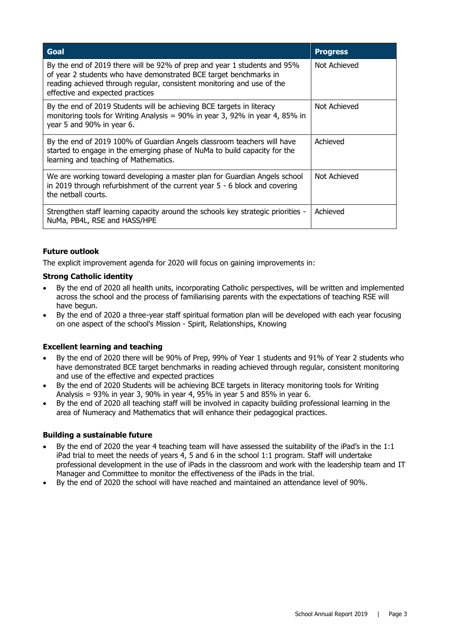| Goal                                                                                                                                                                                                                                                        | <b>Progress</b> |
|-------------------------------------------------------------------------------------------------------------------------------------------------------------------------------------------------------------------------------------------------------------|-----------------|
| By the end of 2019 there will be 92% of prep and year 1 students and 95%<br>of year 2 students who have demonstrated BCE target benchmarks in<br>reading achieved through regular, consistent monitoring and use of the<br>effective and expected practices | Not Achieved    |
| By the end of 2019 Students will be achieving BCE targets in literacy<br>monitoring tools for Writing Analysis = $90\%$ in year 3, 92% in year 4, 85% in<br>year 5 and 90% in year 6.                                                                       | Not Achieved    |
| By the end of 2019 100% of Guardian Angels classroom teachers will have<br>started to engage in the emerging phase of NuMa to build capacity for the<br>learning and teaching of Mathematics.                                                               | Achieved        |
| We are working toward developing a master plan for Guardian Angels school<br>in 2019 through refurbishment of the current year $5 - 6$ block and covering<br>the netball courts.                                                                            | Not Achieved    |
| Strengthen staff learning capacity around the schools key strategic priorities -<br>NuMa, PB4L, RSE and HASS/HPE                                                                                                                                            | Achieved        |

#### **Future outlook**

The explicit improvement agenda for 2020 will focus on gaining improvements in:

#### **Strong Catholic identity**

- By the end of 2020 all health units, incorporating Catholic perspectives, will be written and implemented across the school and the process of familiarising parents with the expectations of teaching RSE will have begun.
- By the end of 2020 a three-year staff spiritual formation plan will be developed with each year focusing on one aspect of the school's Mission - Spirit, Relationships, Knowing

#### **Excellent learning and teaching**

- By the end of 2020 there will be 90% of Prep, 99% of Year 1 students and 91% of Year 2 students who have demonstrated BCE target benchmarks in reading achieved through regular, consistent monitoring and use of the effective and expected practices
- By the end of 2020 Students will be achieving BCE targets in literacy monitoring tools for Writing Analysis = 93% in year 3, 90% in year 4, 95% in year 5 and 85% in year 6.
- By the end of 2020 all teaching staff will be involved in capacity building professional learning in the area of Numeracy and Mathematics that will enhance their pedagogical practices.

#### **Building a sustainable future**

- By the end of 2020 the year 4 teaching team will have assessed the suitability of the iPad's in the 1:1 iPad trial to meet the needs of years 4, 5 and 6 in the school 1:1 program. Staff will undertake professional development in the use of iPads in the classroom and work with the leadership team and IT Manager and Committee to monitor the effectiveness of the iPads in the trial.
- By the end of 2020 the school will have reached and maintained an attendance level of 90%.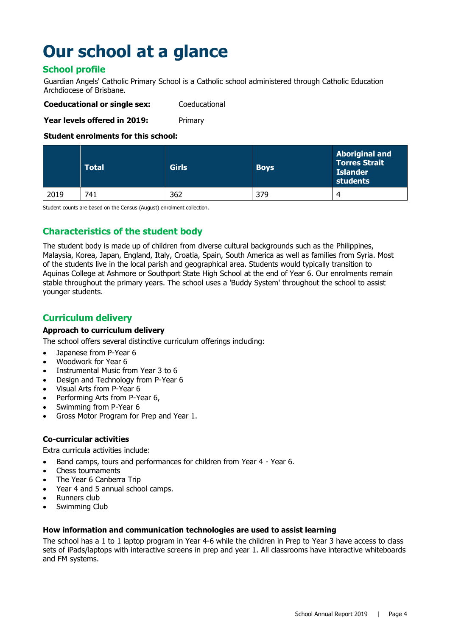# **Our school at a glance**

#### **School profile**

Guardian Angels' Catholic Primary School is a Catholic school administered through Catholic Education Archdiocese of Brisbane.

| <b>Coeducational or single sex:</b> | Coeducational |
|-------------------------------------|---------------|
|                                     |               |

**Year levels offered in 2019:** Primary

#### **Student enrolments for this school:**

|      | <b>Total</b> | <b>Girls</b> | <b>Boys</b> | <b>Aboriginal and</b><br><b>Torres Strait</b><br><b>Islander</b><br>students |
|------|--------------|--------------|-------------|------------------------------------------------------------------------------|
| 2019 | 741          | 362          | 379         | 4                                                                            |

Student counts are based on the Census (August) enrolment collection.

#### **Characteristics of the student body**

The student body is made up of children from diverse cultural backgrounds such as the Philippines, Malaysia, Korea, Japan, England, Italy, Croatia, Spain, South America as well as families from Syria. Most of the students live in the local parish and geographical area. Students would typically transition to Aquinas College at Ashmore or Southport State High School at the end of Year 6. Our enrolments remain stable throughout the primary years. The school uses a 'Buddy System' throughout the school to assist younger students.

#### **Curriculum delivery**

#### **Approach to curriculum delivery**

The school offers several distinctive curriculum offerings including:

- Japanese from P-Year 6
- Woodwork for Year 6
- Instrumental Music from Year 3 to 6
- Design and Technology from P-Year 6
- Visual Arts from P-Year 6
- Performing Arts from P-Year 6,
- Swimming from P-Year 6
- Gross Motor Program for Prep and Year 1.

#### **Co-curricular activities**

Extra curricula activities include:

- Band camps, tours and performances for children from Year 4 Year 6.
- Chess tournaments
- The Year 6 Canberra Trip
- Year 4 and 5 annual school camps.
- Runners club
- Swimming Club

#### **How information and communication technologies are used to assist learning**

The school has a 1 to 1 laptop program in Year 4-6 while the children in Prep to Year 3 have access to class sets of iPads/laptops with interactive screens in prep and year 1. All classrooms have interactive whiteboards and FM systems.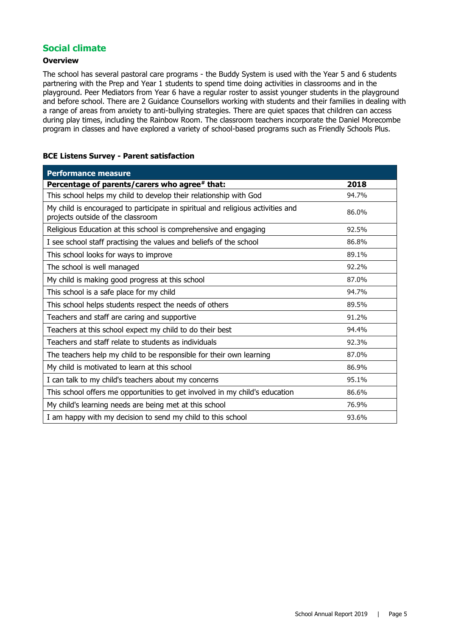#### **Social climate**

#### **Overview**

The school has several pastoral care programs - the Buddy System is used with the Year 5 and 6 students partnering with the Prep and Year 1 students to spend time doing activities in classrooms and in the playground. Peer Mediators from Year 6 have a regular roster to assist younger students in the playground and before school. There are 2 Guidance Counsellors working with students and their families in dealing with a range of areas from anxiety to anti-bullying strategies. There are quiet spaces that children can access during play times, including the Rainbow Room. The classroom teachers incorporate the Daniel Morecombe program in classes and have explored a variety of school-based programs such as Friendly Schools Plus.

#### **BCE Listens Survey - Parent satisfaction**

| <b>Performance measure</b>                                                                                           |       |
|----------------------------------------------------------------------------------------------------------------------|-------|
| Percentage of parents/carers who agree# that:                                                                        | 2018  |
| This school helps my child to develop their relationship with God                                                    | 94.7% |
| My child is encouraged to participate in spiritual and religious activities and<br>projects outside of the classroom | 86.0% |
| Religious Education at this school is comprehensive and engaging                                                     | 92.5% |
| I see school staff practising the values and beliefs of the school                                                   | 86.8% |
| This school looks for ways to improve                                                                                | 89.1% |
| The school is well managed                                                                                           | 92.2% |
| My child is making good progress at this school                                                                      | 87.0% |
| This school is a safe place for my child                                                                             | 94.7% |
| This school helps students respect the needs of others                                                               | 89.5% |
| Teachers and staff are caring and supportive                                                                         | 91.2% |
| Teachers at this school expect my child to do their best                                                             | 94.4% |
| Teachers and staff relate to students as individuals                                                                 | 92.3% |
| The teachers help my child to be responsible for their own learning                                                  | 87.0% |
| My child is motivated to learn at this school                                                                        | 86.9% |
| I can talk to my child's teachers about my concerns                                                                  | 95.1% |
| This school offers me opportunities to get involved in my child's education                                          | 86.6% |
| My child's learning needs are being met at this school                                                               | 76.9% |
| I am happy with my decision to send my child to this school                                                          | 93.6% |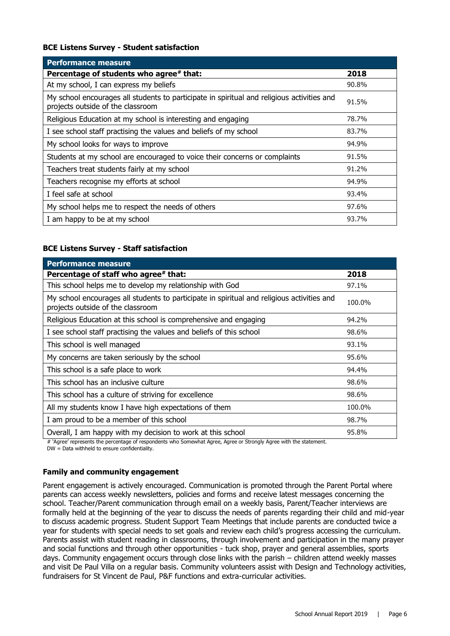#### **BCE Listens Survey - Student satisfaction**

| <b>Performance measure</b>                                                                                                      |       |  |  |  |
|---------------------------------------------------------------------------------------------------------------------------------|-------|--|--|--|
| Percentage of students who agree* that:                                                                                         | 2018  |  |  |  |
| At my school, I can express my beliefs                                                                                          | 90.8% |  |  |  |
| My school encourages all students to participate in spiritual and religious activities and<br>projects outside of the classroom | 91.5% |  |  |  |
| Religious Education at my school is interesting and engaging                                                                    | 78.7% |  |  |  |
| I see school staff practising the values and beliefs of my school                                                               | 83.7% |  |  |  |
| My school looks for ways to improve                                                                                             | 94.9% |  |  |  |
| Students at my school are encouraged to voice their concerns or complaints                                                      | 91.5% |  |  |  |
| Teachers treat students fairly at my school                                                                                     | 91.2% |  |  |  |
| Teachers recognise my efforts at school                                                                                         | 94.9% |  |  |  |
| I feel safe at school                                                                                                           | 93.4% |  |  |  |
| My school helps me to respect the needs of others                                                                               | 97.6% |  |  |  |
| I am happy to be at my school                                                                                                   | 93.7% |  |  |  |

#### **BCE Listens Survey - Staff satisfaction**

| <b>Performance measure</b>                                                                                                      |        |
|---------------------------------------------------------------------------------------------------------------------------------|--------|
| Percentage of staff who agree# that:                                                                                            | 2018   |
| This school helps me to develop my relationship with God                                                                        | 97.1%  |
| My school encourages all students to participate in spiritual and religious activities and<br>projects outside of the classroom | 100.0% |
| Religious Education at this school is comprehensive and engaging                                                                | 94.2%  |
| I see school staff practising the values and beliefs of this school                                                             | 98.6%  |
| This school is well managed                                                                                                     | 93.1%  |
| My concerns are taken seriously by the school                                                                                   | 95.6%  |
| This school is a safe place to work                                                                                             | 94.4%  |
| This school has an inclusive culture                                                                                            | 98.6%  |
| This school has a culture of striving for excellence                                                                            | 98.6%  |
| All my students know I have high expectations of them                                                                           | 100.0% |
| I am proud to be a member of this school                                                                                        | 98.7%  |
| Overall, I am happy with my decision to work at this school                                                                     | 95.8%  |

# 'Agree' represents the percentage of respondents who Somewhat Agree, Agree or Strongly Agree with the statement.

DW = Data withheld to ensure confidentiality.

#### **Family and community engagement**

Parent engagement is actively encouraged. Communication is promoted through the Parent Portal where parents can access weekly newsletters, policies and forms and receive latest messages concerning the school. Teacher/Parent communication through email on a weekly basis, Parent/Teacher interviews are formally held at the beginning of the year to discuss the needs of parents regarding their child and mid-year to discuss academic progress. Student Support Team Meetings that include parents are conducted twice a year for students with special needs to set goals and review each child's progress accessing the curriculum. Parents assist with student reading in classrooms, through involvement and participation in the many prayer and social functions and through other opportunities - tuck shop, prayer and general assemblies, sports days. Community engagement occurs through close links with the parish – children attend weekly masses and visit De Paul Villa on a regular basis. Community volunteers assist with Design and Technology activities, fundraisers for St Vincent de Paul, P&F functions and extra-curricular activities.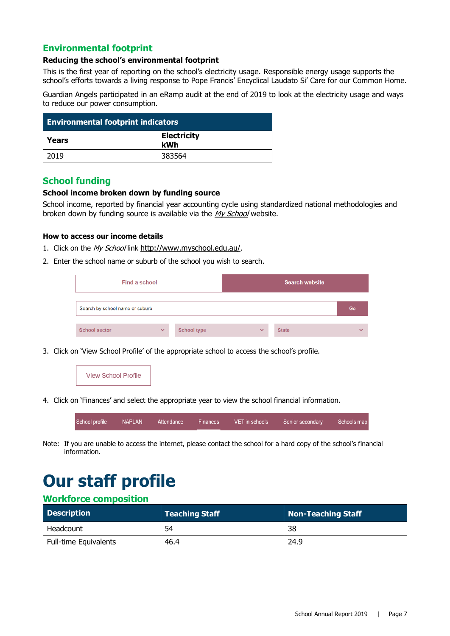#### **Environmental footprint**

#### **Reducing the school's environmental footprint**

This is the first year of reporting on the school's electricity usage. Responsible energy usage supports the school's efforts towards a living response to Pope Francis' Encyclical Laudato Si' Care for our Common Home.

Guardian Angels participated in an eRamp audit at the end of 2019 to look at the electricity usage and ways to reduce our power consumption.

| <b>Environmental footprint indicators</b> |                           |  |
|-------------------------------------------|---------------------------|--|
| Years                                     | <b>Electricity</b><br>kWh |  |
| 2019                                      | 383564                    |  |

#### **School funding**

#### **School income broken down by funding source**

School income, reported by financial year accounting cycle using standardized national methodologies and broken down by funding source is available via the [My School](http://www.myschool.edu.au/) website.

#### **How to access our income details**

- 1. Click on the My School link <http://www.myschool.edu.au/>.
- 2. Enter the school name or suburb of the school you wish to search.

| <b>Find a school</b>            |              |                    |              | <b>Search website</b> |              |
|---------------------------------|--------------|--------------------|--------------|-----------------------|--------------|
| Search by school name or suburb |              |                    |              |                       | Go           |
| <b>School sector</b>            | $\checkmark$ | <b>School type</b> | $\checkmark$ | <b>State</b>          | $\checkmark$ |

3. Click on 'View School Profile' of the appropriate school to access the school's profile.



4. Click on 'Finances' and select the appropriate year to view the school financial information.



Note: If you are unable to access the internet, please contact the school for a hard copy of the school's financial information.

# **Our staff profile**

#### **Workforce composition**

| <b>Description</b>           | <b>Teaching Staff</b> | Non-Teaching Staff |
|------------------------------|-----------------------|--------------------|
| Headcount                    | 54                    | 38                 |
| <b>Full-time Equivalents</b> | 46.4                  | 24.9               |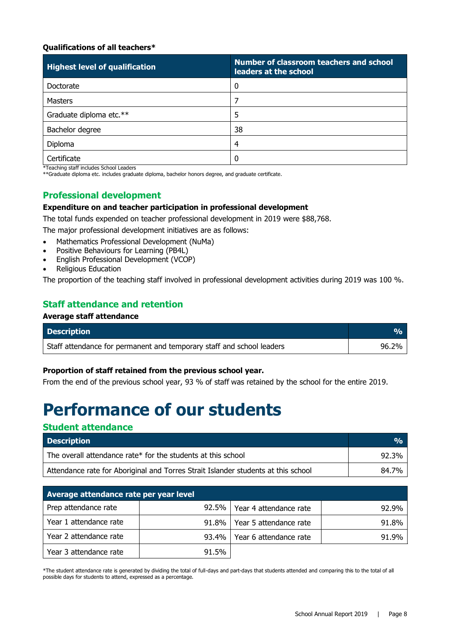#### **Qualifications of all teachers\***

| <b>Highest level of qualification</b> | Number of classroom teachers and school<br>leaders at the school |
|---------------------------------------|------------------------------------------------------------------|
| Doctorate                             | $\mathbf 0$                                                      |
| <b>Masters</b>                        |                                                                  |
| Graduate diploma etc.**               | 5                                                                |
| Bachelor degree                       | 38                                                               |
| Diploma                               | 4                                                                |
| Certificate                           |                                                                  |

\*Teaching staff includes School Leaders

\*\*Graduate diploma etc. includes graduate diploma, bachelor honors degree, and graduate certificate.

#### **Professional development**

#### **Expenditure on and teacher participation in professional development**

The total funds expended on teacher professional development in 2019 were \$88,768.

The major professional development initiatives are as follows:

- Mathematics Professional Development (NuMa)
- Positive Behaviours for Learning (PB4L)
- English Professional Development (VCOP)
- Religious Education

The proportion of the teaching staff involved in professional development activities during 2019 was 100 %.

#### **Staff attendance and retention**

#### **Average staff attendance**

| <b>Description</b>                                                    |       |
|-----------------------------------------------------------------------|-------|
| Staff attendance for permanent and temporary staff and school leaders | 96.2% |

#### **Proportion of staff retained from the previous school year.**

From the end of the previous school year, 93 % of staff was retained by the school for the entire 2019.

### **Performance of our students**

#### **Student attendance**

| <b>Description</b>                                                                | $\frac{O}{O}$ |
|-----------------------------------------------------------------------------------|---------------|
| The overall attendance rate* for the students at this school                      | 92.3%         |
| Attendance rate for Aboriginal and Torres Strait Islander students at this school | 84.7%         |

| Average attendance rate per year level |          |                        |       |
|----------------------------------------|----------|------------------------|-------|
| Prep attendance rate                   | $92.5\%$ | Year 4 attendance rate | 92.9% |
| Year 1 attendance rate                 | 91.8%    | Year 5 attendance rate | 91.8% |
| Year 2 attendance rate                 | 93.4%    | Year 6 attendance rate | 91.9% |
| Year 3 attendance rate                 | 91.5%    |                        |       |

\*The student attendance rate is generated by dividing the total of full-days and part-days that students attended and comparing this to the total of all possible days for students to attend, expressed as a percentage.